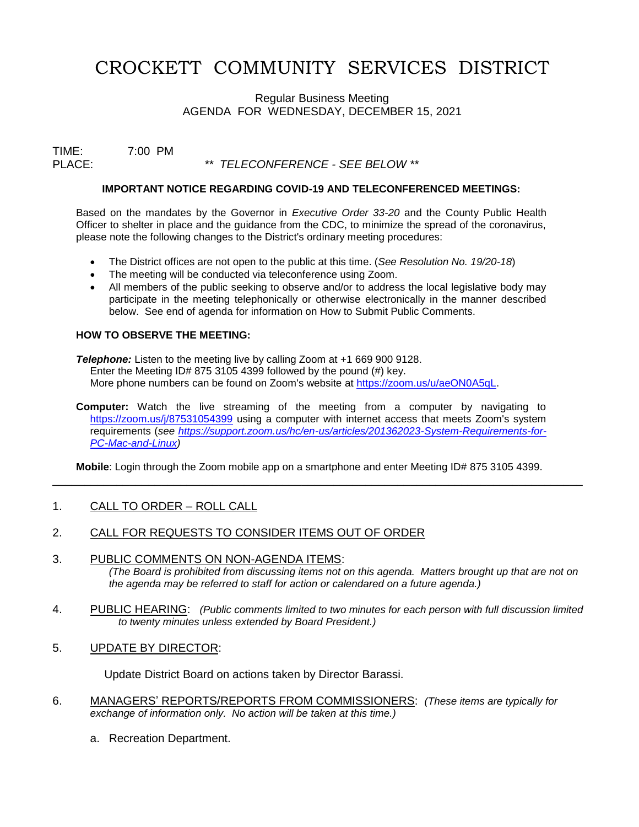# CROCKETT COMMUNITY SERVICES DISTRICT

Regular Business Meeting AGENDA FOR WEDNESDAY, DECEMBER 15, 2021

TIME: 7:00 PM

PLACE: *\*\* TELECONFERENCE - SEE BELOW \*\**

#### **IMPORTANT NOTICE REGARDING COVID-19 AND TELECONFERENCED MEETINGS:**

Based on the mandates by the Governor in *Executive Order 33-20* and the County Public Health Officer to shelter in place and the guidance from the CDC, to minimize the spread of the coronavirus, please note the following changes to the District's ordinary meeting procedures:

- The District offices are not open to the public at this time. (*See Resolution No. 19/20-18*)
- The meeting will be conducted via teleconference using Zoom.
- All members of the public seeking to observe and/or to address the local legislative body may participate in the meeting telephonically or otherwise electronically in the manner described below. See end of agenda for information on How to Submit Public Comments.

#### **HOW TO OBSERVE THE MEETING:**

**Telephone:** Listen to the meeting live by calling Zoom at +1 669 900 9128. Enter the Meeting ID# 875 3105 4399 followed by the pound (#) key. More phone numbers can be found on Zoom's website at [https://zoom.us/u/aeON0A5qL.](https://zoom.us/u/aeON0A5qL)

**Computer:** Watch the live streaming of the meeting from a computer by navigating to <https://zoom.us/j/87531054399> using a computer with internet access that meets Zoom's system requirements (*see [https://support.zoom.us/hc/en-us/articles/201362023-System-Requirements-for-](https://support.zoom.us/hc/en-us/articles/201362023-System-Requirements-for-PC-Mac-and-Linux)[PC-Mac-and-Linux\)](https://support.zoom.us/hc/en-us/articles/201362023-System-Requirements-for-PC-Mac-and-Linux)*

**Mobile**: Login through the Zoom mobile app on a smartphone and enter Meeting ID# 875 3105 4399.

\_\_\_\_\_\_\_\_\_\_\_\_\_\_\_\_\_\_\_\_\_\_\_\_\_\_\_\_\_\_\_\_\_\_\_\_\_\_\_\_\_\_\_\_\_\_\_\_\_\_\_\_\_\_\_\_\_\_\_\_\_\_\_\_\_\_\_\_\_\_\_\_\_\_\_\_\_\_\_\_\_\_\_

## 1. CALL TO ORDER – ROLL CALL

## 2. CALL FOR REQUESTS TO CONSIDER ITEMS OUT OF ORDER

- 3. PUBLIC COMMENTS ON NON-AGENDA ITEMS: *(The Board is prohibited from discussing items not on this agenda. Matters brought up that are not on the agenda may be referred to staff for action or calendared on a future agenda.)*
- 4. PUBLIC HEARING: *(Public comments limited to two minutes for each person with full discussion limited to twenty minutes unless extended by Board President.)*
- 5. UPDATE BY DIRECTOR:

Update District Board on actions taken by Director Barassi.

- 6. MANAGERS' REPORTS/REPORTS FROM COMMISSIONERS: *(These items are typically for exchange of information only. No action will be taken at this time.)*
	- a. Recreation Department.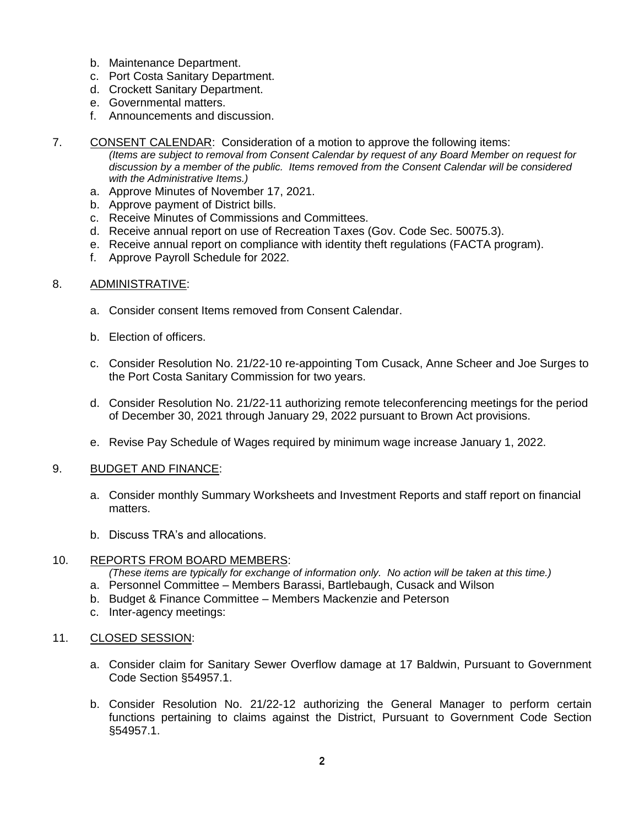- b. Maintenance Department.
- c. Port Costa Sanitary Department.
- d. Crockett Sanitary Department.
- e. Governmental matters.
- f. Announcements and discussion.
- 7. CONSENT CALENDAR: Consideration of a motion to approve the following items: *(Items are subject to removal from Consent Calendar by request of any Board Member on request for discussion by a member of the public. Items removed from the Consent Calendar will be considered with the Administrative Items.)*
	- a. Approve Minutes of November 17, 2021.
	- b. Approve payment of District bills.
	- c. Receive Minutes of Commissions and Committees.
	- d. Receive annual report on use of Recreation Taxes (Gov. Code Sec. 50075.3).
	- e. Receive annual report on compliance with identity theft regulations (FACTA program).
	- f. Approve Payroll Schedule for 2022.

# 8. ADMINISTRATIVE:

- a. Consider consent Items removed from Consent Calendar.
- b. Election of officers.
- c. Consider Resolution No. 21/22-10 re-appointing Tom Cusack, Anne Scheer and Joe Surges to the Port Costa Sanitary Commission for two years.
- d. Consider Resolution No. 21/22-11 authorizing remote teleconferencing meetings for the period of December 30, 2021 through January 29, 2022 pursuant to Brown Act provisions.
- e. Revise Pay Schedule of Wages required by minimum wage increase January 1, 2022.

## 9. BUDGET AND FINANCE:

- a. Consider monthly Summary Worksheets and Investment Reports and staff report on financial matters.
- b. Discuss TRA's and allocations.

## 10. REPORTS FROM BOARD MEMBERS:

*(These items are typically for exchange of information only. No action will be taken at this time.)*

- a. Personnel Committee Members Barassi, Bartlebaugh, Cusack and Wilson
- b. Budget & Finance Committee Members Mackenzie and Peterson
- c. Inter-agency meetings:

## 11. CLOSED SESSION:

- a. Consider claim for Sanitary Sewer Overflow damage at 17 Baldwin, Pursuant to Government Code Section §54957.1.
- b. Consider Resolution No. 21/22-12 authorizing the General Manager to perform certain functions pertaining to claims against the District, Pursuant to Government Code Section §54957.1.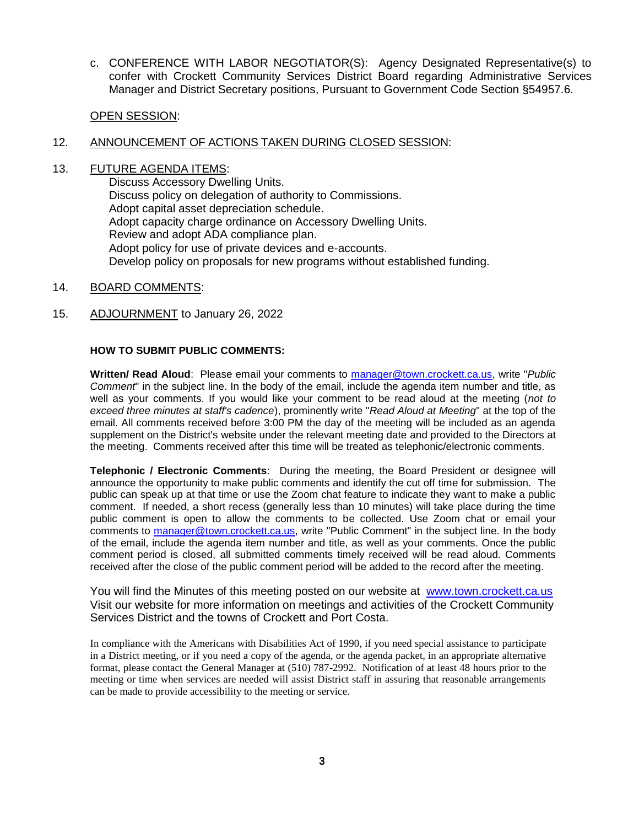c. CONFERENCE WITH LABOR NEGOTIATOR(S): Agency Designated Representative(s) to confer with Crockett Community Services District Board regarding Administrative Services Manager and District Secretary positions, Pursuant to Government Code Section §54957.6.

## OPEN SESSION:

## 12. ANNOUNCEMENT OF ACTIONS TAKEN DURING CLOSED SESSION:

13. FUTURE AGENDA ITEMS:

Discuss Accessory Dwelling Units. Discuss policy on delegation of authority to Commissions. Adopt capital asset depreciation schedule. Adopt capacity charge ordinance on Accessory Dwelling Units. Review and adopt ADA compliance plan. Adopt policy for use of private devices and e-accounts. Develop policy on proposals for new programs without established funding.

- 14. BOARD COMMENTS:
- 15. ADJOURNMENT to January 26, 2022

## **HOW TO SUBMIT PUBLIC COMMENTS:**

**Written/ Read Aloud**: Please email your comments to [manager@town.crockett.ca.us,](mailto:manager@town.crockett.ca.us) write "*Public Comment*" in the subject line. In the body of the email, include the agenda item number and title, as well as your comments. If you would like your comment to be read aloud at the meeting (*not to exceed three minutes at staff's cadence*), prominently write "*Read Aloud at Meeting*" at the top of the email. All comments received before 3:00 PM the day of the meeting will be included as an agenda supplement on the District's website under the relevant meeting date and provided to the Directors at the meeting. Comments received after this time will be treated as telephonic/electronic comments.

**Telephonic / Electronic Comments**: During the meeting, the Board President or designee will announce the opportunity to make public comments and identify the cut off time for submission. The public can speak up at that time or use the Zoom chat feature to indicate they want to make a public comment. If needed, a short recess (generally less than 10 minutes) will take place during the time public comment is open to allow the comments to be collected. Use Zoom chat or email your comments to [manager@town.crockett.ca.us,](mailto:manager@town.crockett.ca.us) write "Public Comment" in the subject line. In the body of the email, include the agenda item number and title, as well as your comments. Once the public comment period is closed, all submitted comments timely received will be read aloud. Comments received after the close of the public comment period will be added to the record after the meeting.

You will find the Minutes of this meeting posted on our website at www.town.crockett.ca.us Visit our website for more information on meetings and activities of the Crockett Community Services District and the towns of Crockett and Port Costa.

In compliance with the Americans with Disabilities Act of 1990, if you need special assistance to participate in a District meeting, or if you need a copy of the agenda, or the agenda packet, in an appropriate alternative format, please contact the General Manager at (510) 787-2992. Notification of at least 48 hours prior to the meeting or time when services are needed will assist District staff in assuring that reasonable arrangements can be made to provide accessibility to the meeting or service.